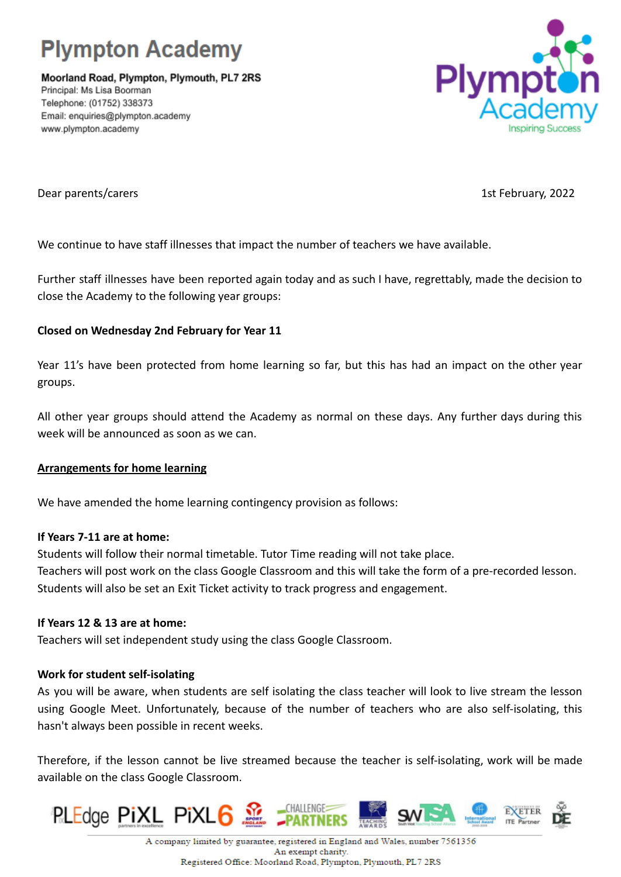

Moorland Road, Plympton, Plymouth, PL7 2RS Principal: Ms Lisa Boorman Telephone: (01752) 338373 Email: enquiries@plympton.academy www.plympton.academy



Dear parents/carers 1st February, 2022

We continue to have staff illnesses that impact the number of teachers we have available.

Further staff illnesses have been reported again today and as such I have, regrettably, made the decision to close the Academy to the following year groups:

## **Closed on Wednesday 2nd February for Year 11**

Year 11's have been protected from home learning so far, but this has had an impact on the other year groups.

All other year groups should attend the Academy as normal on these days. Any further days during this week will be announced as soon as we can.

### **Arrangements for home learning**

We have amended the home learning contingency provision as follows:

### **If Years 7-11 are at home:**

Students will follow their normal timetable. Tutor Time reading will not take place. Teachers will post work on the class Google Classroom and this will take the form of a pre-recorded lesson. Students will also be set an Exit Ticket activity to track progress and engagement.

### **If Years 12 & 13 are at home:**

Teachers will set independent study using the class Google Classroom.

# **Work for student self-isolating**

As you will be aware, when students are self isolating the class teacher will look to live stream the lesson using Google Meet. Unfortunately, because of the number of teachers who are also self-isolating, this hasn't always been possible in recent weeks.

Therefore, if the lesson cannot be live streamed because the teacher is self-isolating, work will be made available on the class Google Classroom.